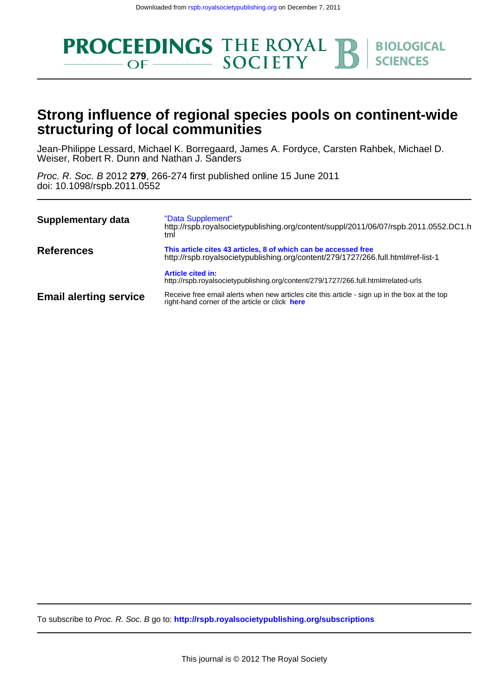

## **structuring of local communities Strong influence of regional species pools on continent-wide**

Weiser, Robert R. Dunn and Nathan J. Sanders Jean-Philippe Lessard, Michael K. Borregaard, James A. Fordyce, Carsten Rahbek, Michael D.

doi: 10.1098/rspb.2011.0552 Proc. R. Soc. B 2012 **279**, 266-274 first published online 15 June 2011

| Supplementary data            | "Data Supplement"<br>http://rspb.royalsocietypublishing.org/content/suppl/2011/06/07/rspb.2011.0552.DC1.h<br>tml                                    |
|-------------------------------|-----------------------------------------------------------------------------------------------------------------------------------------------------|
| References                    | This article cites 43 articles, 8 of which can be accessed free<br>http://rspb.royalsocietypublishing.org/content/279/1727/266.full.html#ref-list-1 |
|                               | <b>Article cited in:</b><br>http://rspb.royalsocietypublishing.org/content/279/1727/266.full.html#related-urls                                      |
| <b>Email alerting service</b> | Receive free email alerts when new articles cite this article - sign up in the box at the top<br>right-hand corner of the article or click here     |

To subscribe to Proc. R. Soc. B go to: **<http://rspb.royalsocietypublishing.org/subscriptions>**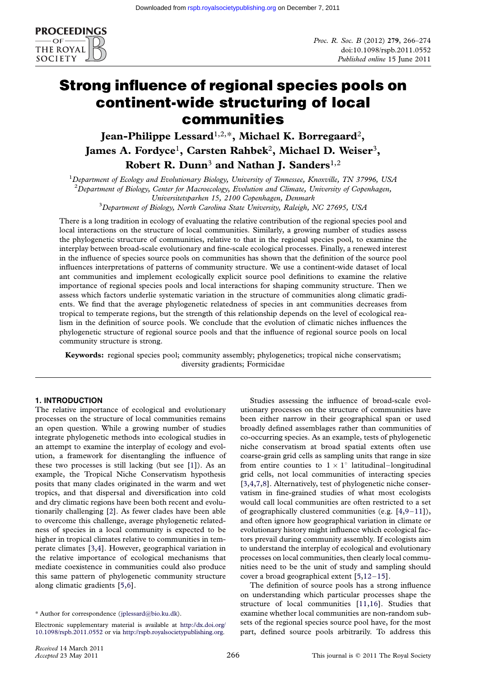

# Strong influence of regional species pools on continent-wide structuring of local communities

Jean-Philippe Lessard $^{1,2,\ast},$  Michael K. Borregaard $^2,$ James A. Fordyce $^1$ , Carsten Rahbek $^2$ , Michael D. Weiser $^3$ , Robert R. Dunn<sup>3</sup> and Nathan I. Sanders<sup>1,2</sup>

<sup>1</sup>Department of Ecology and Evolutionary Biology, University of Tennessee, Knoxville, TN 37996, USA  $^2$ Department of Biology, Center for Macroecology, Evolution and Climate, University of Copenhagen, Universitetsparken 15, 2100 Copenhagen, Denmark <sup>3</sup>

 $3$ Department of Biology, North Carolina State University, Raleigh, NC 27695, USA

There is a long tradition in ecology of evaluating the relative contribution of the regional species pool and local interactions on the structure of local communities. Similarly, a growing number of studies assess the phylogenetic structure of communities, relative to that in the regional species pool, to examine the interplay between broad-scale evolutionary and fine-scale ecological processes. Finally, a renewed interest in the influence of species source pools on communities has shown that the definition of the source pool influences interpretations of patterns of community structure. We use a continent-wide dataset of local ant communities and implement ecologically explicit source pool definitions to examine the relative importance of regional species pools and local interactions for shaping community structure. Then we assess which factors underlie systematic variation in the structure of communities along climatic gradients. We find that the average phylogenetic relatedness of species in ant communities decreases from tropical to temperate regions, but the strength of this relationship depends on the level of ecological realism in the definition of source pools. We conclude that the evolution of climatic niches influences the phylogenetic structure of regional source pools and that the influence of regional source pools on local community structure is strong.

Keywords: regional species pool; community assembly; phylogenetics; tropical niche conservatism; diversity gradients; Formicidae

## 1. INTRODUCTION

The relative importance of ecological and evolutionary processes on the structure of local communities remains an open question. While a growing number of studies integrate phylogenetic methods into ecological studies in an attempt to examine the interplay of ecology and evolution, a framework for disentangling the influence of these two processes is still lacking (but see [\[1\]](#page-7-0)). As an example, the Tropical Niche Conservatism hypothesis posits that many clades originated in the warm and wet tropics, and that dispersal and diversification into cold and dry climatic regions have been both recent and evolutionarily challenging [[2\]](#page-7-0). As fewer clades have been able to overcome this challenge, average phylogenetic relatedness of species in a local community is expected to be higher in tropical climates relative to communities in temperate climates [[3,4](#page-7-0)]. However, geographical variation in the relative importance of ecological mechanisms that mediate coexistence in communities could also produce this same pattern of phylogenetic community structure along climatic gradients [[5,6\]](#page-7-0).

Studies assessing the influence of broad-scale evolutionary processes on the structure of communities have been either narrow in their geographical span or used broadly defined assemblages rather than communities of co-occurring species. As an example, tests of phylogenetic niche conservatism at broad spatial extents often use coarse-grain grid cells as sampling units that range in size from entire counties to  $1 \times 1^{\circ}$  latitudinal-longitudinal grid cells, not local communities of interacting species [\[3,4,7,](#page-7-0)[8\]](#page-8-0). Alternatively, test of phylogenetic niche conservatism in fine-grained studies of what most ecologists would call local communities are often restricted to a set of geographically clustered communities (e.g.  $[4,9-11]$  $[4,9-11]$  $[4,9-11]$  $[4,9-11]$ ), and often ignore how geographical variation in climate or evolutionary history might influence which ecological factors prevail during community assembly. If ecologists aim to understand the interplay of ecological and evolutionary processes on local communities, then clearly local communities need to be the unit of study and sampling should cover a broad geographical extent [[5,](#page-7-0)[12](#page-8-0)–[15](#page-8-0)].

The definition of source pools has a strong influence on understanding which particular processes shape the structure of local communities [\[11,16\]](#page-8-0). Studies that examine whether local communities are non-random subsets of the regional species source pool have, for the most part, defined source pools arbitrarily. To address this

<sup>\*</sup> Author for correspondence ([jplessard@bio.ku.dk](mailto:jplessard@bio.ku.dk)).

Electronic supplementary material is available at [http://dx.doi.org/](http://dx.doi.org/10.1098/rspb.2011.0552) [10.1098/rspb.2011.0552](http://dx.doi.org/10.1098/rspb.2011.0552) or via <http://rspb.royalsocietypublishing.org>.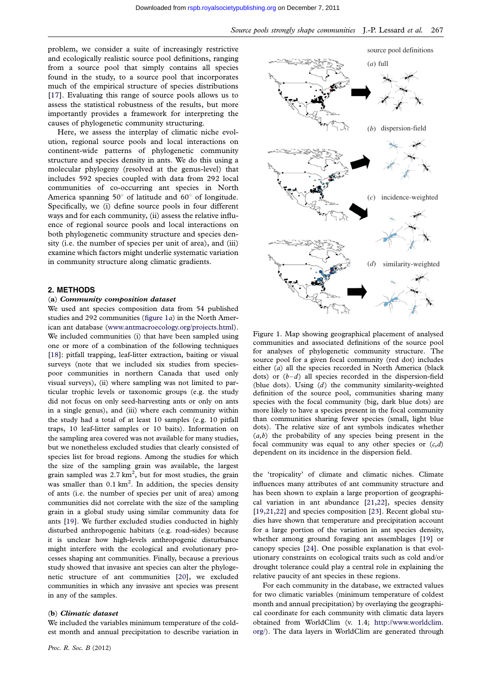<span id="page-2-0"></span>problem, we consider a suite of increasingly restrictive and ecologically realistic source pool definitions, ranging from a source pool that simply contains all species found in the study, to a source pool that incorporates much of the empirical structure of species distributions [\[17\]](#page-8-0). Evaluating this range of source pools allows us to assess the statistical robustness of the results, but more importantly provides a framework for interpreting the causes of phylogenetic community structuring.

Here, we assess the interplay of climatic niche evolution, regional source pools and local interactions on continent-wide patterns of phylogenetic community structure and species density in ants. We do this using a molecular phylogeny (resolved at the genus-level) that includes 592 species coupled with data from 292 local communities of co-occurring ant species in North America spanning  $50^{\circ}$  of latitude and  $60^{\circ}$  of longitude. Specifically, we (i) define source pools in four different ways and for each community, (ii) assess the relative influence of regional source pools and local interactions on both phylogenetic community structure and species density (i.e. the number of species per unit of area), and (iii) examine which factors might underlie systematic variation in community structure along climatic gradients.

## 2. METHODS

#### (a) Community composition dataset

We used ant species composition data from 54 published studies and 292 communities (figure  $1a$ ) in the North American ant database [\(www.antmacroecology.org/projects.html](http://www.antmacroecology.org/projects.html)). We included communities (i) that have been sampled using one or more of a combination of the following techniques [[18\]](#page-8-0): pitfall trapping, leaf-litter extraction, baiting or visual surveys (note that we included six studies from speciespoor communities in northern Canada that used only visual surveys), (ii) where sampling was not limited to particular trophic levels or taxonomic groups (e.g. the study did not focus on only seed-harvesting ants or only on ants in a single genus), and (iii) where each community within the study had a total of at least 10 samples (e.g. 10 pitfall traps, 10 leaf-litter samples or 10 baits). Information on the sampling area covered was not available for many studies, but we nonetheless excluded studies that clearly consisted of species list for broad regions. Among the studies for which the size of the sampling grain was available, the largest grain sampled was  $2.7 \text{ km}^2$ , but for most studies, the grain was smaller than  $0.1 \text{ km}^2$ . In addition, the species density of ants (i.e. the number of species per unit of area) among communities did not correlate with the size of the sampling grain in a global study using similar community data for ants [\[19](#page-8-0)]. We further excluded studies conducted in highly disturbed anthropogenic habitats (e.g. road-sides) because it is unclear how high-levels anthropogenic disturbance might interfere with the ecological and evolutionary processes shaping ant communities. Finally, because a previous study showed that invasive ant species can alter the phylogenetic structure of ant communities [[20](#page-8-0)], we excluded communities in which any invasive ant species was present in any of the samples.

#### (b) Climatic dataset

We included the variables minimum temperature of the coldest month and annual precipitation to describe variation in



Figure 1. Map showing geographical placement of analysed communities and associated definitions of the source pool for analyses of phylogenetic community structure. The source pool for a given focal community (red dot) includes either (a) all the species recorded in North America (black dots) or  $(b-d)$  all species recorded in the dispersion-field (blue dots). Using  $(d)$  the community similarity-weighted definition of the source pool, communities sharing many species with the focal community (big, dark blue dots) are more likely to have a species present in the focal community than communities sharing fewer species (small, light blue dots). The relative size of ant symbols indicates whether  $(a,b)$  the probability of any species being present in the focal community was equal to any other species or  $(c,d)$ dependent on its incidence in the dispersion field.

the 'tropicality' of climate and climatic niches. Climate influences many attributes of ant community structure and has been shown to explain a large proportion of geographical variation in ant abundance [[21,22](#page-8-0)], species density [[19,21,22\]](#page-8-0) and species composition [\[23](#page-8-0)]. Recent global studies have shown that temperature and precipitation account for a large portion of the variation in ant species density, whether among ground foraging ant assemblages [\[19](#page-8-0)] or canopy species [\[24](#page-8-0)]. One possible explanation is that evolutionary constraints on ecological traits such as cold and/or drought tolerance could play a central role in explaining the relative paucity of ant species in these regions.

For each community in the database, we extracted values for two climatic variables (minimum temperature of coldest month and annual precipitation) by overlaying the geographical coordinate for each community with climatic data layers obtained from WorldClim (v. 1.4; [http://www.worldclim.](http://www.worldclim.org/) [org/\)](http://www.worldclim.org/). The data layers in WorldClim are generated through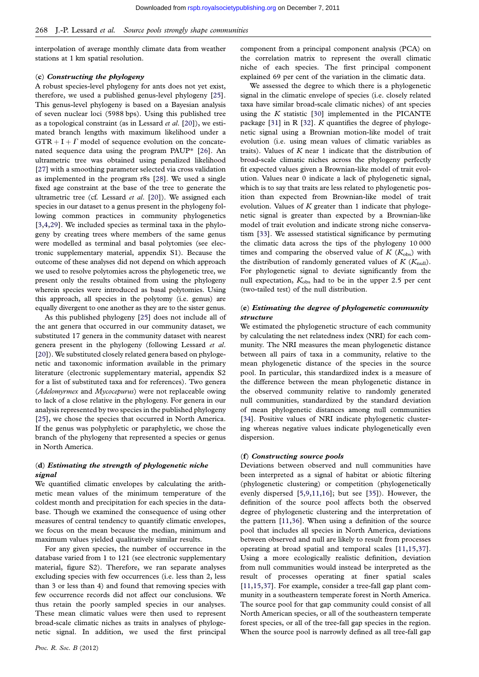interpolation of average monthly climate data from weather stations at 1 km spatial resolution.

### (c) Constructing the phylogeny

A robust species-level phylogeny for ants does not yet exist, therefore, we used a published genus-level phylogeny [[25\]](#page-8-0). This genus-level phylogeny is based on a Bayesian analysis of seven nuclear loci (5988 bps). Using this published tree as a topological constraint (as in Lessard et al. [\[20](#page-8-0)]), we estimated branch lengths with maximum likelihood under a  $GTR + I + \Gamma$  model of sequence evolution on the concatenated sequence data using the program PAUP\* [[26\]](#page-8-0). An ultrametric tree was obtained using penalized likelihood [\[27](#page-8-0)] with a smoothing parameter selected via cross validation as implemented in the program r8s [\[28](#page-8-0)]. We used a single fixed age constraint at the base of the tree to generate the ultrametric tree (cf. Lessard et al. [\[20](#page-8-0)]). We assigned each species in our dataset to a genus present in the phylogeny following common practices in community phylogenetics [\[3](#page-7-0),[4](#page-7-0)[,29](#page-8-0)]. We included species as terminal taxa in the phylogeny by creating trees where members of the same genus were modelled as terminal and basal polytomies (see electronic supplementary material, appendix S1). Because the outcome of these analyses did not depend on which approach we used to resolve polytomies across the phylogenetic tree, we present only the results obtained from using the phylogeny wherein species were introduced as basal polytomies. Using this approach, all species in the polytomy (i.e. genus) are equally divergent to one another as they are to the sister genus.

As this published phylogeny [\[25](#page-8-0)] does not include all of the ant genera that occurred in our community dataset, we substituted 17 genera in the community dataset with nearest genera present in the phylogeny (following Lessard et al. [\[20](#page-8-0)]). We substituted closely related genera based on phylogenetic and taxonomic information available in the primary literature (electronic supplementary material, appendix S2 for a list of substituted taxa and for references). Two genera (Adelomyrmex and Mycocepurus) were not replaceable owing to lack of a close relative in the phylogeny. For genera in our analysis represented by two species in the published phylogeny [\[25](#page-8-0)], we chose the species that occurred in North America. If the genus was polyphyletic or paraphyletic, we chose the branch of the phylogeny that represented a species or genus in North America.

## (d) Estimating the strength of phylogenetic niche signal

We quantified climatic envelopes by calculating the arithmetic mean values of the minimum temperature of the coldest month and precipitation for each species in the database. Though we examined the consequence of using other measures of central tendency to quantify climatic envelopes, we focus on the mean because the median, minimum and maximum values yielded qualitatively similar results.

For any given species, the number of occurrence in the database varied from 1 to 121 (see electronic supplementary material, figure S2). Therefore, we ran separate analyses excluding species with few occurrences (i.e. less than 2, less than 3 or less than 4) and found that removing species with few occurrence records did not affect our conclusions. We thus retain the poorly sampled species in our analyses. These mean climatic values were then used to represent broad-scale climatic niches as traits in analyses of phylogenetic signal. In addition, we used the first principal component from a principal component analysis (PCA) on the correlation matrix to represent the overall climatic niche of each species. The first principal component explained 69 per cent of the variation in the climatic data.

We assessed the degree to which there is a phylogenetic signal in the climatic envelope of species (i.e. closely related taxa have similar broad-scale climatic niches) of ant species using the  $K$  statistic [[30\]](#page-8-0) implemented in the PICANTE package [\[31](#page-8-0)] in R [[32\]](#page-8-0).  $K$  quantifies the degree of phylogenetic signal using a Brownian motion-like model of trait evolution (i.e. using mean values of climatic variables as traits). Values of  $K$  near 1 indicate that the distribution of broad-scale climatic niches across the phylogeny perfectly fit expected values given a Brownian-like model of trait evolution. Values near 0 indicate a lack of phylogenetic signal, which is to say that traits are less related to phylogenetic position than expected from Brownian-like model of trait evolution. Values of  $K$  greater than 1 indicate that phylogenetic signal is greater than expected by a Brownian-like model of trait evolution and indicate strong niche conservatism [\[33](#page-8-0)]. We assessed statistical significance by permuting the climatic data across the tips of the phylogeny 10 000 times and comparing the observed value of  $K(K_{obs})$  with the distribution of randomly generated values of  $K$  ( $K_{\text{null}}$ ). For phylogenetic signal to deviate significantly from the null expectation,  $K_{obs}$  had to be in the upper 2.5 per cent (two-tailed test) of the null distribution.

## (e) Estimating the degree of phylogenetic community structure

We estimated the phylogenetic structure of each community by calculating the net relatedness index (NRI) for each community. The NRI measures the mean phylogenetic distance between all pairs of taxa in a community, relative to the mean phylogenetic distance of the species in the source pool. In particular, this standardized index is a measure of the difference between the mean phylogenetic distance in the observed community relative to randomly generated null communities, standardized by the standard deviation of mean phylogenetic distances among null communities [\[34](#page-8-0)]. Positive values of NRI indicate phylogenetic clustering whereas negative values indicate phylogenetically even dispersion.

#### (f) Constructing source pools

Deviations between observed and null communities have been interpreted as a signal of habitat or abiotic filtering (phylogenetic clustering) or competition (phylogenetically evenly dispersed [\[5](#page-7-0),[9,11,16\]](#page-8-0); but see [[35\]](#page-8-0)). However, the definition of the source pool affects both the observed degree of phylogenetic clustering and the interpretation of the pattern [[11,36](#page-8-0)]. When using a definition of the source pool that includes all species in North America, deviations between observed and null are likely to result from processes operating at broad spatial and temporal scales [[11,15](#page-8-0),[37\]](#page-8-0). Using a more ecologically realistic definition, deviation from null communities would instead be interpreted as the result of processes operating at finer spatial scales [\[11](#page-8-0),[15,37](#page-8-0)]. For example, consider a tree-fall gap plant community in a southeastern temperate forest in North America. The source pool for that gap community could consist of all North American species, or all of the southeastern temperate forest species, or all of the tree-fall gap species in the region. When the source pool is narrowly defined as all tree-fall gap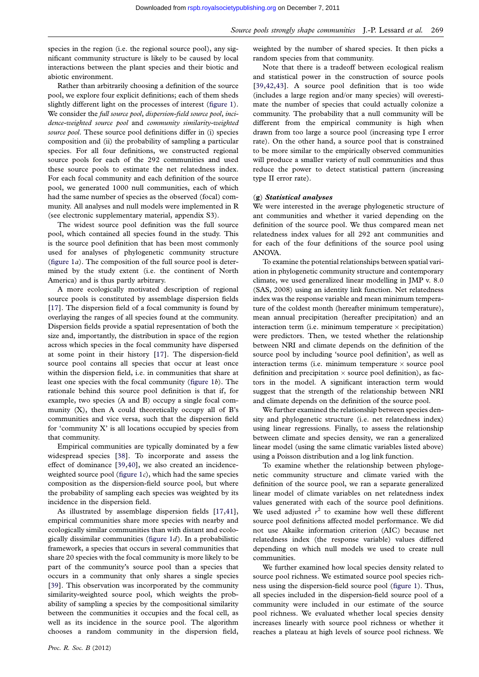species in the region (i.e. the regional source pool), any significant community structure is likely to be caused by local interactions between the plant species and their biotic and abiotic environment.

Rather than arbitrarily choosing a definition of the source pool, we explore four explicit definitions; each of them sheds slightly different light on the processes of interest [\(figure 1](#page-2-0)). We consider the full source pool, dispersion-field source pool, incidence-weighted source pool and community similarity-weighted source pool. These source pool definitions differ in (i) species composition and (ii) the probability of sampling a particular species. For all four definitions, we constructed regional source pools for each of the 292 communities and used these source pools to estimate the net relatedness index. For each focal community and each definition of the source pool, we generated 1000 null communities, each of which had the same number of species as the observed (focal) community. All analyses and null models were implemented in R (see electronic supplementary material, appendix S3).

The widest source pool definition was the full source pool, which contained all species found in the study. This is the source pool definition that has been most commonly used for analyses of phylogenetic community structure (figure  $1a$ ). The composition of the full source pool is determined by the study extent (i.e. the continent of North America) and is thus partly arbitrary.

A more ecologically motivated description of regional source pools is constituted by assemblage dispersion fields [[17\]](#page-8-0). The dispersion field of a focal community is found by overlaying the ranges of all species found at the community. Dispersion fields provide a spatial representation of both the size and, importantly, the distribution in space of the region across which species in the focal community have dispersed at some point in their history [\[17](#page-8-0)]. The dispersion-field source pool contains all species that occur at least once within the dispersion field, i.e. in communities that share at least one species with the focal community [\(figure 1](#page-2-0)b). The rationale behind this source pool definition is that if, for example, two species (A and B) occupy a single focal community  $(X)$ , then A could theoretically occupy all of B's communities and vice versa, such that the dispersion field for 'community X' is all locations occupied by species from that community.

Empirical communities are typically dominated by a few widespread species [\[38\]](#page-8-0). To incorporate and assess the effect of dominance [[39,40](#page-8-0)], we also created an incidenceweighted source pool (figure  $1c$ ), which had the same species composition as the dispersion-field source pool, but where the probability of sampling each species was weighted by its incidence in the dispersion field.

As illustrated by assemblage dispersion fields [\[17,41](#page-8-0)], empirical communities share more species with nearby and ecologically similar communities than with distant and ecologically dissimilar communities (figure  $1d$ ). In a probabilistic framework, a species that occurs in several communities that share 20 species with the focal community is more likely to be part of the community's source pool than a species that occurs in a community that only shares a single species [[39\]](#page-8-0). This observation was incorporated by the community similarity-weighted source pool, which weights the probability of sampling a species by the compositional similarity between the communities it occupies and the focal cell, as well as its incidence in the source pool. The algorithm chooses a random community in the dispersion field,

weighted by the number of shared species. It then picks a random species from that community.

Note that there is a tradeoff between ecological realism and statistical power in the construction of source pools [[39,42,43\]](#page-8-0). A source pool definition that is too wide (includes a large region and/or many species) will overestimate the number of species that could actually colonize a community. The probability that a null community will be different from the empirical community is high when drawn from too large a source pool (increasing type I error rate). On the other hand, a source pool that is constrained to be more similar to the empirically observed communities will produce a smaller variety of null communities and thus reduce the power to detect statistical pattern (increasing type II error rate).

## (g) Statistical analyses

We were interested in the average phylogenetic structure of ant communities and whether it varied depending on the definition of the source pool. We thus compared mean net relatedness index values for all 292 ant communities and for each of the four definitions of the source pool using ANOVA.

To examine the potential relationships between spatial variation in phylogenetic community structure and contemporary climate, we used generalized linear modelling in JMP v. 8.0 (SAS, 2008) using an identity link function. Net relatedness index was the response variable and mean minimum temperature of the coldest month (hereafter minimum temperature), mean annual precipitation (hereafter precipitation) and an interaction term (i.e. minimum temperature  $\times$  precipitation) were predictors. Then, we tested whether the relationship between NRI and climate depends on the definition of the source pool by including 'source pool definition', as well as interaction terms (i.e. minimum temperature  $\times$  source pool definition and precipitation  $\times$  source pool definition), as factors in the model. A significant interaction term would suggest that the strength of the relationship between NRI and climate depends on the definition of the source pool.

We further examined the relationship between species density and phylogenetic structure (i.e. net relatedness index) using linear regressions. Finally, to assess the relationship between climate and species density, we ran a generalized linear model (using the same climatic variables listed above) using a Poisson distribution and a log link function.

To examine whether the relationship between phylogenetic community structure and climate varied with the definition of the source pool, we ran a separate generalized linear model of climate variables on net relatedness index values generated with each of the source pool definitions. We used adjusted  $r^2$  to examine how well these different source pool definitions affected model performance. We did not use Akaike information criterion (AIC) because net relatedness index (the response variable) values differed depending on which null models we used to create null communities.

We further examined how local species density related to source pool richness. We estimated source pool species richness using the dispersion-field source pool ([figure 1](#page-2-0)). Thus, all species included in the dispersion-field source pool of a community were included in our estimate of the source pool richness. We evaluated whether local species density increases linearly with source pool richness or whether it reaches a plateau at high levels of source pool richness. We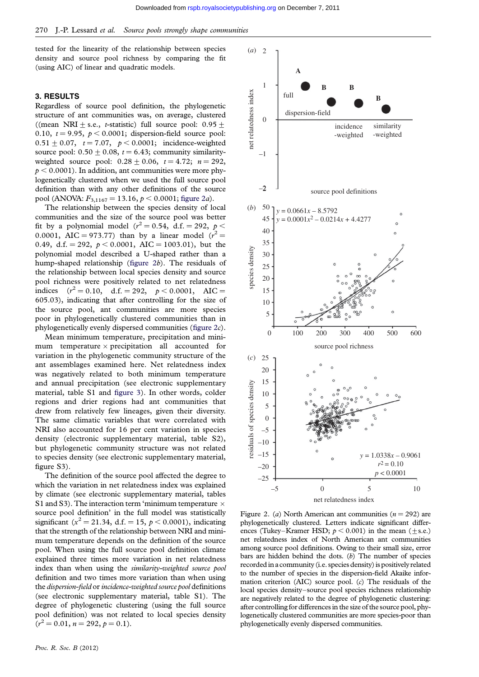tested for the linearity of the relationship between species density and source pool richness by comparing the fit (using AIC) of linear and quadratic models.

## 3. RESULTS

Regardless of source pool definition, the phylogenetic structure of ant communities was, on average, clustered ((mean NRI  $\pm$  s.e., *t*-statistic) full source pool: 0.95  $\pm$ 0.10,  $t = 9.95$ ,  $p < 0.0001$ ; dispersion-field source pool:  $0.51 \pm 0.07$ ,  $t = 7.07$ ,  $p < 0.0001$ ; incidence-weighted source pool:  $0.50 \pm 0.08$ ,  $t = 6.43$ ; community similarityweighted source pool:  $0.28 \pm 0.06$ ,  $t = 4.72$ ;  $n = 292$ ,  $p < 0.0001$ ). In addition, ant communities were more phylogenetically clustered when we used the full source pool definition than with any other definitions of the source pool (ANOVA:  $F_{3,1167} = 13.16$ ,  $p < 0.0001$ ; figure 2a).

The relationship between the species density of local communities and the size of the source pool was better fit by a polynomial model ( $r^2 = 0.54$ , d.f. = 292, p < 0.0001, AIC = 973.77) than by a linear model  $(r^2 =$ 0.49, d.f. = 292,  $p < 0.0001$ , AIC = 1003.01), but the polynomial model described a U-shaped rather than a hump-shaped relationship (figure 2b). The residuals of the relationship between local species density and source pool richness were positively related to net relatedness indices  $(r^2 = 0.10, d.f. = 292, p < 0.0001, AIC =$ 605.03), indicating that after controlling for the size of the source pool, ant communities are more species poor in phylogenetically clustered communities than in phylogenetically evenly dispersed communities (figure 2c).

Mean minimum temperature, precipitation and minimum temperature  $\times$  precipitation all accounted for variation in the phylogenetic community structure of the ant assemblages examined here. Net relatedness index was negatively related to both minimum temperature and annual precipitation (see electronic supplementary material, table S1 and [figure 3\)](#page-6-0). In other words, colder regions and drier regions had ant communities that drew from relatively few lineages, given their diversity. The same climatic variables that were correlated with NRI also accounted for 16 per cent variation in species density (electronic supplementary material, table S2), but phylogenetic community structure was not related to species density (see electronic supplementary material, figure S3).

The definition of the source pool affected the degree to which the variation in net relatedness index was explained by climate (see electronic supplementary material, tables S1 and S3). The interaction term 'minimum temperature  $\times$ source pool definition' in the full model was statistically significant ( $x^2 = 21.34$ , d.f. = 15,  $p < 0.0001$ ), indicating that the strength of the relationship between NRI and minimum temperature depends on the definition of the source pool. When using the full source pool definition climate explained three times more variation in net relatedness index than when using the similarity-weighted source pool definition and two times more variation than when using the dispersion-field or incidence-weighted source pool definitions (see electronic supplementary material, table S1). The degree of phylogenetic clustering (using the full source pool definition) was not related to local species density  $(r^2 = 0.01, n = 292, p = 0.1).$ 



Figure 2. (a) North American ant communities ( $n = 292$ ) are phylogenetically clustered. Letters indicate significant differences (Tukey–Kramer HSD;  $p < 0.001$ ) in the mean ( $\pm$ s.e.) net relatedness index of North American ant communities among source pool definitions. Owing to their small size, error bars are hidden behind the dots.  $(b)$  The number of species recordedin a community (i.e. species density) is positively related to the number of species in the dispersion-field Akaike information criterion (AIC) source pool. (c) The residuals of the local species density–source pool species richness relationship are negatively related to the degree of phylogenetic clustering: after controlling for differences in the size of the source pool, phylogenetically clustered communities are more species-poor than phylogenetically evenly dispersed communities.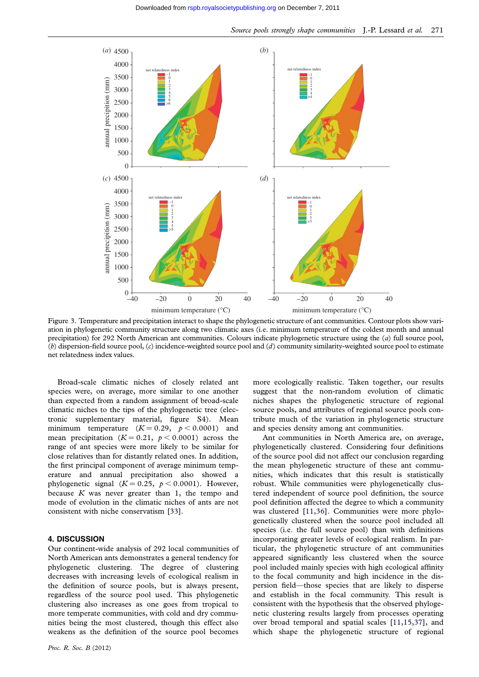<span id="page-6-0"></span>

Source pools strongly shape communities J.-P. Lessard et al. 271

Figure 3. Temperature and precipitation interact to shape the phylogenetic structure of ant communities. Contour plots show variation in phylogenetic community structure along two climatic axes (i.e. minimum temperature of the coldest month and annual precipitation) for 292 North American ant communities. Colours indicate phylogenetic structure using the (a) full source pool, (b) dispersion-field source pool,  $(c)$  incidence-weighted source pool and  $(d)$  community similarity-weighted source pool to estimate net relatedness index values.

Broad-scale climatic niches of closely related ant species were, on average, more similar to one another than expected from a random assignment of broad-scale climatic niches to the tips of the phylogenetic tree (electronic supplementary material, figure S4). Mean minimum temperature  $(K = 0.29, p < 0.0001)$  and mean precipitation  $(K = 0.21, p < 0.0001)$  across the range of ant species were more likely to be similar for close relatives than for distantly related ones. In addition, the first principal component of average minimum temperature and annual precipitation also showed a phylogenetic signal ( $K = 0.25$ ,  $p < 0.0001$ ). However, because  $K$  was never greater than 1, the tempo and mode of evolution in the climatic niches of ants are not consistent with niche conservatism [\[33\]](#page-8-0).

## 4. DISCUSSION

Our continent-wide analysis of 292 local communities of North American ants demonstrates a general tendency for phylogenetic clustering. The degree of clustering decreases with increasing levels of ecological realism in the definition of source pools, but is always present, regardless of the source pool used. This phylogenetic clustering also increases as one goes from tropical to more temperate communities, with cold and dry communities being the most clustered, though this effect also weakens as the definition of the source pool becomes more ecologically realistic. Taken together, our results suggest that the non-random evolution of climatic niches shapes the phylogenetic structure of regional source pools, and attributes of regional source pools contribute much of the variation in phylogenetic structure and species density among ant communities.

Ant communities in North America are, on average, phylogenetically clustered. Considering four definitions of the source pool did not affect our conclusion regarding the mean phylogenetic structure of these ant communities, which indicates that this result is statistically robust. While communities were phylogenetically clustered independent of source pool definition, the source pool definition affected the degree to which a community was clustered [[11](#page-8-0),[36](#page-8-0)]. Communities were more phylogenetically clustered when the source pool included all species (i.e. the full source pool) than with definitions incorporating greater levels of ecological realism. In particular, the phylogenetic structure of ant communities appeared significantly less clustered when the source pool included mainly species with high ecological affinity to the focal community and high incidence in the dispersion field—those species that are likely to disperse and establish in the focal community. This result is consistent with the hypothesis that the observed phylogenetic clustering results largely from processes operating over broad temporal and spatial scales [\[11,15](#page-8-0),[37](#page-8-0)], and which shape the phylogenetic structure of regional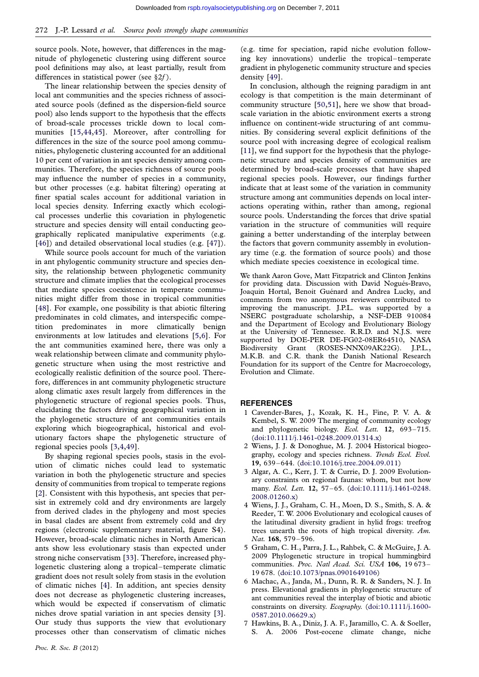<span id="page-7-0"></span>source pools. Note, however, that differences in the magnitude of phylogenetic clustering using different source pool definitions may also, at least partially, result from differences in statistical power (see  $82f$ ).

The linear relationship between the species density of local ant communities and the species richness of associated source pools (defined as the dispersion-field source pool) also lends support to the hypothesis that the effects of broad-scale processes trickle down to local communities [\[15,44](#page-8-0),[45](#page-9-0)]. Moreover, after controlling for differences in the size of the source pool among communities, phylogenetic clustering accounted for an additional 10 per cent of variation in ant species density among communities. Therefore, the species richness of source pools may influence the number of species in a community, but other processes (e.g. habitat filtering) operating at finer spatial scales account for additional variation in local species density. Inferring exactly which ecological processes underlie this covariation in phylogenetic structure and species density will entail conducting geographically replicated manipulative experiments (e.g. [\[46\]](#page-9-0)) and detailed observational local studies (e.g. [\[47\]](#page-9-0)).

While source pools account for much of the variation in ant phylogentic community structure and species density, the relationship between phylogenetic community structure and climate implies that the ecological processes that mediate species coexistence in temperate communities might differ from those in tropical communities [\[48\]](#page-9-0). For example, one possibility is that abiotic filtering predominates in cold climates, and interspecific competition predominates in more climatically benign environments at low latitudes and elevations [5,6]. For the ant communities examined here, there was only a weak relationship between climate and community phylogenetic structure when using the most restrictive and ecologically realistic definition of the source pool. Therefore, differences in ant community phylogenetic structure along climatic axes result largely from differences in the phylogenetic structure of regional species pools. Thus, elucidating the factors driving geographical variation in the phylogenetic structure of ant communities entails exploring which biogeographical, historical and evolutionary factors shape the phylogenetic structure of regional species pools [3,4,[49](#page-9-0)].

By shaping regional species pools, stasis in the evolution of climatic niches could lead to systematic variation in both the phylogenetic structure and species density of communities from tropical to temperate regions [2]. Consistent with this hypothesis, ant species that persist in extremely cold and dry environments are largely from derived clades in the phylogeny and most species in basal clades are absent from extremely cold and dry regions (electronic supplementary material, figure S4). However, broad-scale climatic niches in North American ants show less evolutionary stasis than expected under strong niche conservatism [[33](#page-8-0)]. Therefore, increased phylogenetic clustering along a tropical– temperate climatic gradient does not result solely from stasis in the evolution of climatic niches [4]. In addition, ant species density does not decrease as phylogenetic clustering increases, which would be expected if conservatism of climatic niches drove spatial variation in ant species density [3]. Our study thus supports the view that evolutionary processes other than conservatism of climatic niches

(e.g. time for speciation, rapid niche evolution following key innovations) underlie the tropical– temperate gradient in phylogenetic community structure and species density [[49](#page-9-0)].

In conclusion, although the reigning paradigm in ant ecology is that competition is the main determinant of community structure [[50,51\]](#page-9-0), here we show that broadscale variation in the abiotic environment exerts a strong influence on continent-wide structuring of ant communities. By considering several explicit definitions of the source pool with increasing degree of ecological realism [\[11\]](#page-8-0), we find support for the hypothesis that the phylogenetic structure and species density of communities are determined by broad-scale processes that have shaped regional species pools. However, our findings further indicate that at least some of the variation in community structure among ant communities depends on local interactions operating within, rather than among, regional source pools. Understanding the forces that drive spatial variation in the structure of communities will require gaining a better understanding of the interplay between the factors that govern community assembly in evolutionary time (e.g. the formation of source pools) and those which mediate species coexistence in ecological time.

We thank Aaron Gove, Matt Fitzpatrick and Clinton Jenkins for providing data. Discussion with David Nogués-Bravo, Joaquin Hortal, Benoit Guénard and Andrea Lucky, and comments from two anonymous reviewers contributed to improving the manuscript. J.P.L. was supported by a NSERC postgraduate scholarship, a NSF-DEB 910084 and the Department of Ecology and Evolutionary Biology at the University of Tennessee. R.R.D. and N.J.S. were supported by DOE-PER DE-FG02-08ER64510, NASA Biodiversity Grant (ROSES-NNX09AK22G). J.P.L., M.K.B. and C.R. thank the Danish National Research Foundation for its support of the Centre for Macroecology, Evolution and Climate.

### **REFERENCES**

- 1 Cavender-Bares, J., Kozak, K. H., Fine, P. V. A. & Kembel, S. W. 2009 The merging of community ecology and phylogenetic biology. Ecol. Lett. 12, 693-715. [\(doi:10.1111/j.1461-0248.2009.01314.x](http://dx.doi.org/10.1111/j.1461-0248.2009.01314.x))
- 2 Wiens, J. J. & Donoghue, M. J. 2004 Historical biogeography, ecology and species richness. Trends Ecol. Evol. 19, 639 –644. ([doi:10.1016/j.tree.2004.09.011](http://dx.doi.org/10.1016/j.tree.2004.09.011))
- 3 Algar, A. C., Kerr, J. T. & Currie, D. J. 2009 Evolutionary constraints on regional faunas: whom, but not how many. Ecol. Lett. 12, 57–65. [\(doi:10.1111/j.1461-0248.](http://dx.doi.org/10.1111/j.1461-0248.2008.01260.x) [2008.01260.x](http://dx.doi.org/10.1111/j.1461-0248.2008.01260.x))
- 4 Wiens, J. J., Graham, C. H., Moen, D. S., Smith, S. A. & Reeder, T. W. 2006 Evolutionary and ecological causes of the latitudinal diversity gradient in hylid frogs: treefrog trees unearth the roots of high tropical diversity. Am. Nat. 168, 579-596.
- 5 Graham, C. H., Parra, J. L., Rahbek, C. & McGuire, J. A. 2009 Phylogenetic structure in tropical hummingbird communities. Proc. Natl Acad. Sci. USA 106, 19673-19 678. [\(doi:10.1073/pnas.0901649106\)](http://dx.doi.org/10.1073/pnas.0901649106)
- 6 Machac, A., Janda, M., Dunn, R. R. & Sanders, N. J. In press. Elevational gradients in phylogenetic structure of ant communities reveal the interplay of biotic and abiotic constraints on diversity. Ecography. ([doi:10.1111/j.1600-](http://dx.doi.org/10.1111/j.1600-0587.2010.06629.x) [0587.2010.06629.x\)](http://dx.doi.org/10.1111/j.1600-0587.2010.06629.x)
- 7 Hawkins, B. A., Diniz, J. A. F., Jaramillo, C. A. & Soeller, S. A. 2006 Post-eocene climate change, niche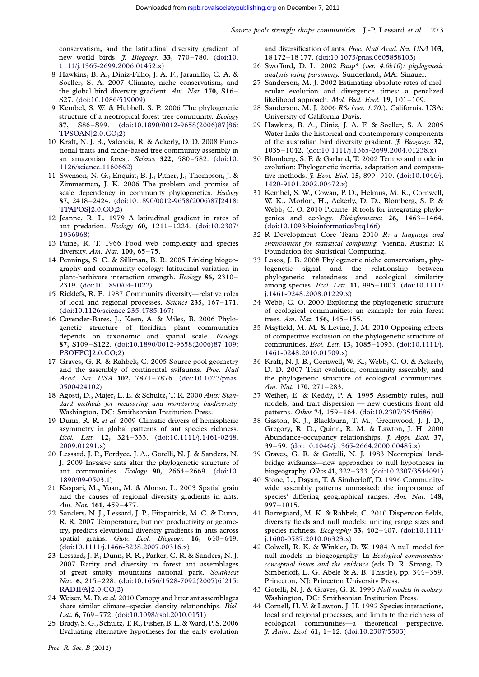<span id="page-8-0"></span>conservatism, and the latitudinal diversity gradient of new world birds. *J. Biogeogr.* 33, 770-780. ([doi:10.](http://dx.doi.org/10.1111/j.1365-2699.2006.01452.x) [1111/j.1365-2699.2006.01452.x\)](http://dx.doi.org/10.1111/j.1365-2699.2006.01452.x)

- 8 Hawkins, B. A., Diniz-Filho, J. A. F., Jaramillo, C. A. & Soeller, S. A. 2007 Climate, niche conservatism, and the global bird diversity gradient. Am. Nat.  $170$ , S16-S27. ([doi:10.1086/519009\)](http://dx.doi.org/10.1086/519009)
- 9 Kembel, S. W. & Hubbell, S. P. 2006 The phylogenetic structure of a neotropical forest tree community. Ecology 87, S86–S99. ([doi:10.1890/0012-9658\(2006\)87\[86:](http://dx.doi.org/10.1890/0012-9658(2006)87[86:TPSOAN]2.0.CO;2) [TPSOAN\]2.0.CO;2\)](http://dx.doi.org/10.1890/0012-9658(2006)87[86:TPSOAN]2.0.CO;2)
- 10 Kraft, N. J. B., Valencia, R. & Ackerly, D. D. 2008 Functional traits and niche-based tree community assembly in an amazonian forest. Science 322, 580-582. ([doi:10.](http://dx.doi.org/10.1126/science.1160662) [1126/science.1160662\)](http://dx.doi.org/10.1126/science.1160662)
- 11 Swenson, N. G., Enquist, B. J., Pither, J., Thompson, J. & Zimmerman, J. K. 2006 The problem and promise of scale dependency in community phylogenetics. Ecology 87, 2418–2424. [\(doi:10.1890/0012-9658\(2006\)87\[2418:](http://dx.doi.org/10.1890/0012-9658(2006)87[2418:TPAPOS]2.0.CO;2) [TPAPOS\]2.0.CO;2](http://dx.doi.org/10.1890/0012-9658(2006)87[2418:TPAPOS]2.0.CO;2))
- 12 Jeanne, R. L. 1979 A latitudinal gradient in rates of ant predation. Ecology 60, 1211–1224. ([doi:10.2307/](http://dx.doi.org/10.2307/1936968) [1936968\)](http://dx.doi.org/10.2307/1936968)
- 13 Paine, R. T. 1966 Food web complexity and species diversity. Am. Nat. 100, 65–75.
- 14 Pennings, S. C. & Silliman, B. R. 2005 Linking biogeography and community ecology: latitudinal variation in plant-herbivore interaction strength. Ecology 86, 2310– 2319. ([doi:10.1890/04-1022\)](http://dx.doi.org/10.1890/04-1022)
- 15 Ricklefs, R. E. 1987 Community diversity—relative roles of local and regional processes. Science 235, 167–171. [\(doi:10.1126/science.235.4785.167\)](http://dx.doi.org/10.1126/science.235.4785.167)
- 16 Cavender-Bares, J., Keen, A. & Miles, B. 2006 Phylogenetic structure of floridian plant communities depends on taxonomic and spatial scale. Ecology 87, S109–S122. ([doi:10.1890/0012-9658\(2006\)87\[109:](http://dx.doi.org/10.1890/0012-9658(2006)87[109:PSOFPC]2.0.CO;2) [PSOFPC\]2.0.CO;2](http://dx.doi.org/10.1890/0012-9658(2006)87[109:PSOFPC]2.0.CO;2))
- 17 Graves, G. R. & Rahbek, C. 2005 Source pool geometry and the assembly of continental avifaunas. Proc. Natl Acad. Sci. USA 102, 7871–7876. ([doi:10.1073/pnas.](http://dx.doi.org/10.1073/pnas.0500424102) [0500424102\)](http://dx.doi.org/10.1073/pnas.0500424102)
- 18 Agosti, D., Majer, L. E. & Schultz, T. R. 2000 Ants: Standard methods for measuring and monitoring biodiversity. Washington, DC: Smithsonian Institution Press.
- 19 Dunn, R. R. et al. 2009 Climatic drivers of hemispheric asymmetry in global patterns of ant species richness. Ecol. Lett. 12, 324-333. ([doi:10.1111/j.1461-0248.](http://dx.doi.org/10.1111/j.1461-0248.2009.01291.x) [2009.01291.x](http://dx.doi.org/10.1111/j.1461-0248.2009.01291.x))
- 20 Lessard, J. P., Fordyce, J. A., Gotelli, N. J. & Sanders, N. J. 2009 Invasive ants alter the phylogenetic structure of ant communities.  $Ecology$  **90**, 2664–2669. ([doi:10.](http://dx.doi.org/10.1890/09-0503.1) [1890/09-0503.1\)](http://dx.doi.org/10.1890/09-0503.1)
- 21 Kaspari, M., Yuan, M. & Alonso, L. 2003 Spatial grain and the causes of regional diversity gradients in ants. Am. Nat. 161, 459-477.
- 22 Sanders, N. J., Lessard, J. P., Fitzpatrick, M. C. & Dunn, R. R. 2007 Temperature, but not productivity or geometry, predicts elevational diversity gradients in ants across spatial grains. Glob. Ecol. Biogeogr. 16, 640-649. [\(doi:10.1111/j.1466-8238.2007.00316.x](http://dx.doi.org/10.1111/j.1466-8238.2007.00316.x))
- 23 Lessard, J. P., Dunn, R. R., Parker, C. R. & Sanders, N. J. 2007 Rarity and diversity in forest ant assemblages of great smoky mountains national park. Southeast Nat. 6, 215-228. ([doi:10.1656/1528-7092\(2007\)6\[215:](http://dx.doi.org/10.1656/1528-7092(2007)6[215:RADIFA]2.0.CO;2) [RADIFA\]2.0.CO;2](http://dx.doi.org/10.1656/1528-7092(2007)6[215:RADIFA]2.0.CO;2))
- 24 Weiser, M. D. et al. 2010 Canopy and litter ant assemblages share similar climate–species density relationships. Biol. Lett. 6, 769–772. [\(doi:10.1098/rsbl.2010.0151](http://dx.doi.org/10.1098/rsbl.2010.0151))
- 25 Brady, S. G., Schultz, T. R., Fisher, B. L. & Ward, P. S. 2006 Evaluating alternative hypotheses for the early evolution

and diversification of ants. Proc. Natl Acad. Sci. USA 103, 18 172–18 177. ([doi:10.1073/pnas.0605858103\)](http://dx.doi.org/10.1073/pnas.0605858103)

- 26 Swofford, D. L. 2002 Paup\* (ver. 4.0b10): phylogenetic analysis using parsimony. Sunderland, MA: Sinauer.
- 27 Sanderson, M. J. 2002 Estimating absolute rates of molecular evolution and divergence times: a penalized likelihood approach. Mol. Biol. Evol. 19, 101-109.
- Sanderson, M. J. 2006 R8s (ver. 1.70.). California, USA: University of California Davis.
- 29 Hawkins, B. A., Diniz, J. A. F. & Soeller, S. A. 2005 Water links the historical and contemporary components of the australian bird diversity gradient. *J. Biogeogr.* 32, 1035–1042. [\(doi:10.1111/j.1365-2699.2004.01238.x](http://dx.doi.org/10.1111/j.1365-2699.2004.01238.x))
- 30 Blomberg, S. P. & Garland, T. 2002 Tempo and mode in evolution: Phylogenetic inertia, adaptation and comparative methods. *J. Evol. Biol.* 15, 899-910. ([doi:10.1046/j.](http://dx.doi.org/10.1046/j.1420-9101.2002.00472.x) [1420-9101.2002.00472.x\)](http://dx.doi.org/10.1046/j.1420-9101.2002.00472.x)
- 31 Kembel, S. W., Cowan, P. D., Helmus, M. R., Cornwell, W. K., Morlon, H., Ackerly, D. D., Blomberg, S. P. & Webb, C. O. 2010 Picante: R tools for integrating phylogenies and ecology. Bioinformatics 26, 1463–1464. [\(doi:10.1093/bioinformatics/btq166](http://dx.doi.org/10.1093/bioinformatics/btq166))
- 32 R Development Core Team 2010 R: a language and environment for statistical computing. Vienna, Austria: R Foundation for Statistical Computing.
- 33 Losos, J. B. 2008 Phylogenetic niche conservatism, phylogenetic signal and the relationship between phylogenetic relatedness and ecological similarity among species. Ecol. Lett. 11, 995-1003. ([doi:10.1111/](http://dx.doi.org/10.1111/j.1461-0248.2008.01229.x) [j.1461-0248.2008.01229.x\)](http://dx.doi.org/10.1111/j.1461-0248.2008.01229.x)
- 34 Webb, C. O. 2000 Exploring the phylogenetic structure of ecological communities: an example for rain forest trees. Am. Nat. 156, 145-155.
- 35 Mayfield, M. M. & Levine, J. M. 2010 Opposing effects of competitive exclusion on the phylogenetic structure of communities. Ecol. Lett. 13, 1085–1093. ([doi:10.1111/j.](http://dx.doi.org/10.1111/j.1461-0248.2010.01509.x) [1461-0248.2010.01509.x\)](http://dx.doi.org/10.1111/j.1461-0248.2010.01509.x).
- 36 Kraft, N. J. B., Cornwell, W. K., Webb, C. O. & Ackerly, D. D. 2007 Trait evolution, community assembly, and the phylogenetic structure of ecological communities. Am. Nat. 170, 271-283.
- 37 Weiher, E. & Keddy, P. A. 1995 Assembly rules, null models, and trait dispersion — new questions front old patterns. Oikos 74, 159–164. ([doi:10.2307/3545686](http://dx.doi.org/10.2307/3545686))
- 38 Gaston, K. J., Blackburn, T. M., Greenwood, J. J. D., Gregory, R. D., Quinn, R. M. & Lawton, J. H. 2000 Abundance-occupancy relationships. *J. Appl. Ecol.* 37, 39–59. [\(doi:10.1046/j.1365-2664.2000.00485.x](http://dx.doi.org/10.1046/j.1365-2664.2000.00485.x))
- 39 Graves, G. R. & Gotelli, N. J. 1983 Neotropical landbridge avifaunas—new approaches to null hypotheses in biogeography. Oikos 41, 322–333. [\(doi:10.2307/3544091](http://dx.doi.org/10.2307/3544091))
- 40 Stone, L., Dayan, T. & Simberloff, D. 1996 Communitywide assembly patterns unmasked: the importance of species' differing geographical ranges. Am. Nat. 148, 997 –1015.
- 41 Borregaard, M. K. & Rahbek, C. 2010 Dispersion fields, diversity fields and null models: uniting range sizes and species richness. Ecography 33, 402–407. ([doi:10.1111/](http://dx.doi.org/10.1111/j.1600-0587.2010.06323.x) [j.1600-0587.2010.06323.x\)](http://dx.doi.org/10.1111/j.1600-0587.2010.06323.x)
- 42 Colwell, R. K. & Winkler, D. W. 1984 A null model for null models in biogeography. In Ecological communities: conceptual issues and the evidence (eds D. R. Strong, D. Simberloff, L. G. Abele & A. B. Thistle), pp. 344–359. Princeton, NJ: Princeton University Press.
- 43 Gotelli, N. J. & Graves, G. R. 1996 Null models in ecology. Washington, DC: Smithsonian Institution Press.
- 44 Cornell, H. V. & Lawton, J. H. 1992 Species interactions, local and regional processes, and limits to the richness of ecological communities—a theoretical perspective. J. Anim. Ecol. 61, 1–12. ([doi:10.2307/5503\)](http://dx.doi.org/10.2307/5503)